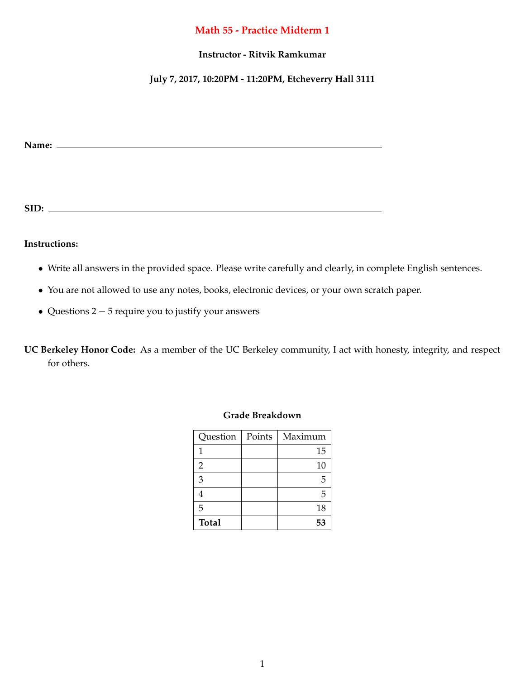# **Math 55 - Practice Midterm 1**

### **Instructor - Ritvik Ramkumar**

# **July 7, 2017, 10:20PM - 11:20PM, Etcheverry Hall 3111**

**Name:**

**SID:**

#### **Instructions:**

- *•* Write all answers in the provided space. Please write carefully and clearly, in complete English sentences.
- *•* You are not allowed to use any notes, books, electronic devices, or your own scratch paper.
- Questions  $2 5$  require you to justify your answers

**UC Berkeley Honor Code:** As a member of the UC Berkeley community, I act with honesty, integrity, and respect for others.

| Question       | Points | Maximum |
|----------------|--------|---------|
| 1              |        | 15      |
| $\overline{2}$ |        | 10      |
| 3              |        | 5       |
|                |        | 5       |
| 5              |        | 18      |
| <b>Total</b>   |        | 53      |

#### **Grade Breakdown**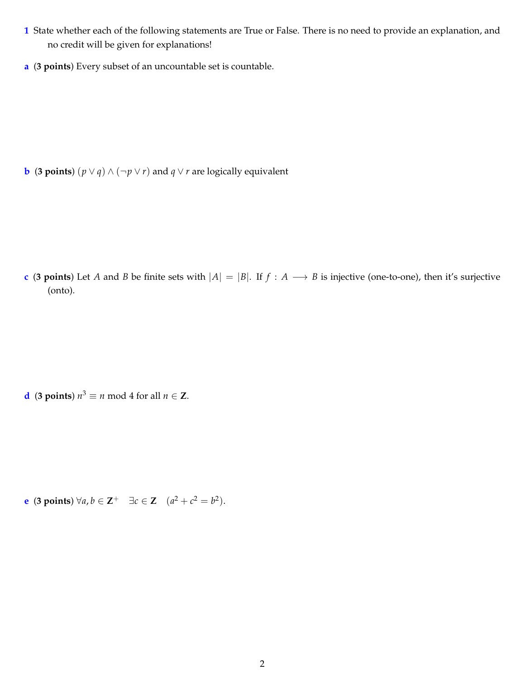- **1** State whether each of the following statements are True or False. There is no need to provide an explanation, and no credit will be given for explanations!
- **a** (**3 points**) Every subset of an uncountable set is countable.

**b** (**3 points**)  $(p \lor q) \land (\neg p \lor r)$  and  $q \lor r$  are logically equivalent

**c** (3 points) Let *A* and *B* be finite sets with  $|A| = |B|$ . If  $f : A \rightarrow B$  is injective (one-to-one), then it's surjective (onto).

**d** (**3** points)  $n^3 \equiv n \text{ mod } 4$  for all  $n \in \mathbb{Z}$ .

**e** (**3** points)  $\forall a, b \in \mathbb{Z}^+ \quad \exists c \in \mathbb{Z} \quad (a^2 + c^2 = b^2).$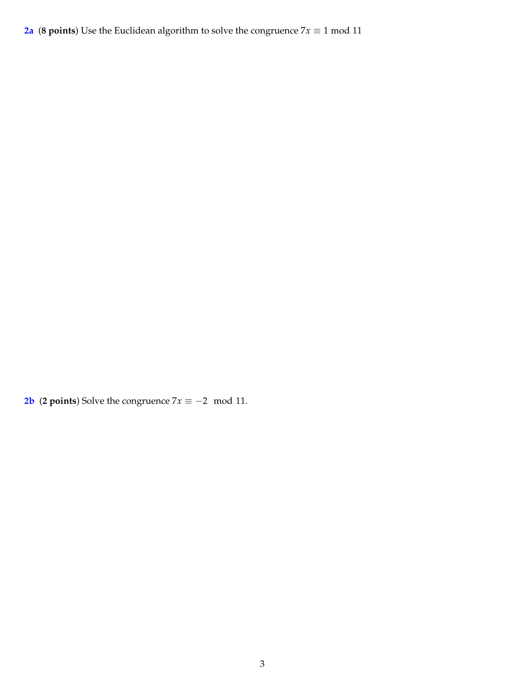**2a** (8 points) Use the Euclidean algorithm to solve the congruence  $7x \equiv 1 \text{ mod } 11$ 

**2b** (**2 points**) Solve the congruence  $7x \equiv -2 \mod 11$ .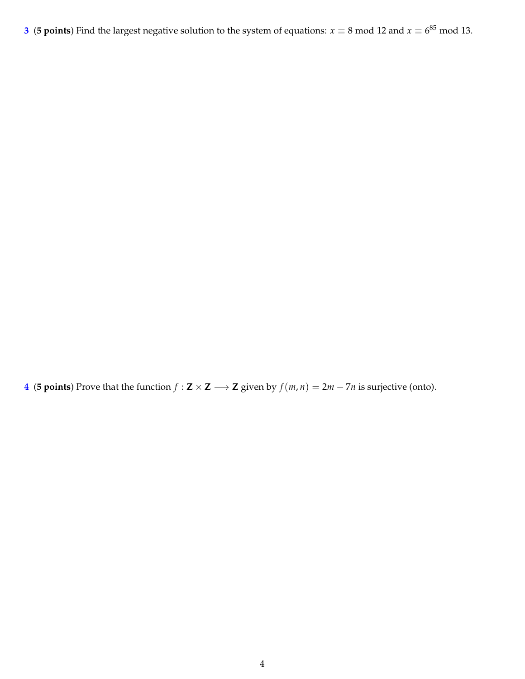**3** (**5 points**) Find the largest negative solution to the system of equations:  $x \equiv 8 \text{ mod } 12$  and  $x \equiv 6^{85} \text{ mod } 13$ .

**4** (**5 points**) Prove that the function  $f : \mathbf{Z} \times \mathbf{Z} \longrightarrow \mathbf{Z}$  given by  $f(m, n) = 2m - 7n$  is surjective (onto).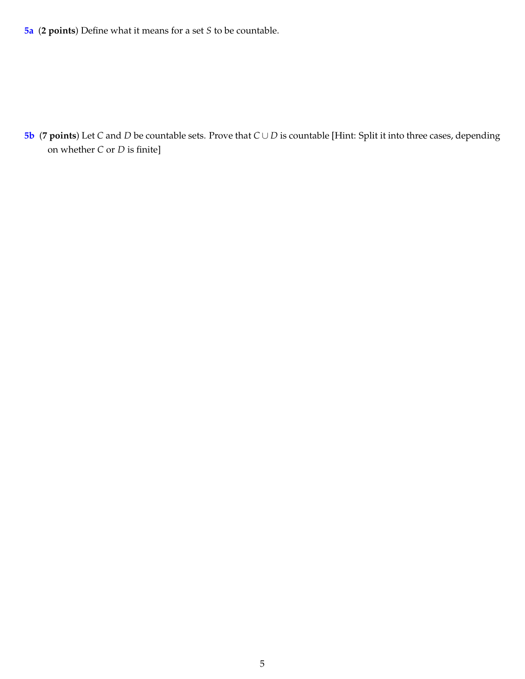**5a** (**2 points**) Define what it means for a set *S* to be countable.

**5b** (**7** points) Let *C* and *D* be countable sets. Prove that  $C \cup D$  is countable [Hint: Split it into three cases, depending on whether *C* or *D* is finite]